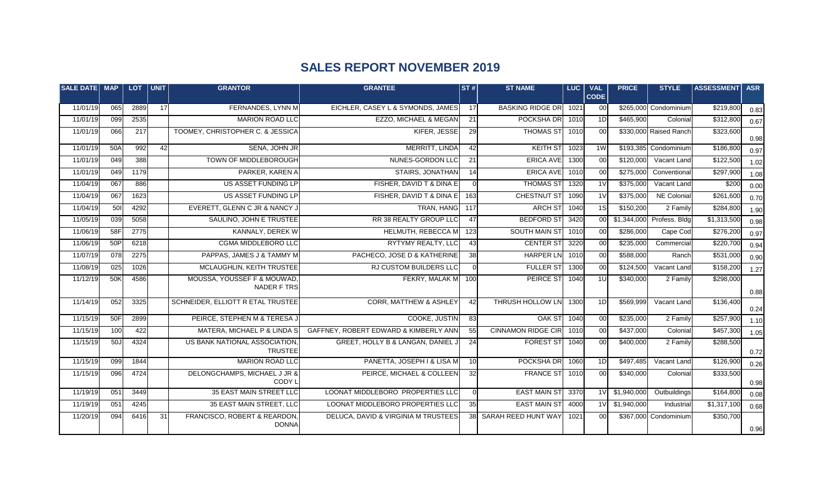## **SALES REPORT NOVEMBER 2019**

| <b>I</b> SALE DATE  MAP |     | <b>LOT</b> | UNIT | <b>GRANTOR</b>                                  | <b>GRANTEE</b>                        | $ \texttt{ST#} $ | <b>ST NAME</b>            | LUC  | <b>VAL</b><br><b>CODE</b> | <b>PRICE</b>   | <b>STYLE</b>              | <b>ASSESSMENT</b> | <b>ASR</b> |
|-------------------------|-----|------------|------|-------------------------------------------------|---------------------------------------|------------------|---------------------------|------|---------------------------|----------------|---------------------------|-------------------|------------|
| 11/01/19                | 065 | 2889       | 17   | FERNANDES, LYNN M                               | EICHLER, CASEY L & SYMONDS, JAMES     | 17               | <b>BASKING RIDGE DR</b>   | 1021 | 00                        |                | \$265,000 Condominium     | \$219,800         | 0.83       |
| 11/01/19                | 099 | 2535       |      | <b>MARION ROAD LLC</b>                          | EZZO, MICHAEL & MEGAN                 | 21               | POCKSHA DR                | 1010 | 1D                        | \$465,900      | Colonial                  | \$312,800         | 0.67       |
| 11/01/19                | 066 | 217        |      | TOOMEY, CHRISTOPHER C. & JESSICA                | KIFER, JESSE                          | 29               | <b>THOMAS ST</b>          | 1010 | 00                        |                | \$330,000 Raised Ranch    | \$323,600         | 0.98       |
| 11/01/19                | 50A | 992        | 42   | SENA, JOHN JR                                   | MERRITT, LINDA                        | 42               | <b>KEITH ST</b>           | 1023 | 1W                        |                | \$193,385 Condominium     | \$186,800         | 0.97       |
| 11/01/19                | 049 | 388        |      | TOWN OF MIDDLEBOROUGH                           | NUNES-GORDON LLC                      | 21               | <b>ERICA AVE</b>          | 1300 | 0 <sub>0</sub>            | \$120,000      | Vacant Land               | \$122,500         | 1.02       |
| 11/01/19                | 049 | 1179       |      | PARKER, KAREN A                                 | <b>STAIRS, JONATHAN</b>               | 14               | ERICA AVE                 | 1010 | 00                        | \$275,000      | Conventional              | \$297,900         | 1.08       |
| 11/04/19                | 067 | 886        |      | US ASSET FUNDING LP                             | FISHER, DAVID T & DINA E              | $\Omega$         | <b>THOMAS ST</b>          | 1320 | $\overline{11}$           | \$375,000      | Vacant Land               | \$200             | 0.00       |
| 11/04/19                | 067 | 1623       |      | US ASSET FUNDING LP                             | FISHER, DAVID T & DINA E              | 163              | <b>CHESTNUT ST</b>        | 1090 | 1 <sup>V</sup>            | \$375,000      | <b>NE Colonial</b>        | \$261,600         | 0.70       |
| 11/04/19                | 501 | 4292       |      | EVERETT, GLENN C JR & NANCY J                   | <b>TRAN, HANG</b>                     | 117              | <b>ARCH ST</b>            | 1040 | 1S                        | \$150,200      | 2 Family                  | \$284,800         | 1.90       |
| 11/05/19                | 039 | 5058       |      | SAULINO, JOHN E TRUSTEE                         | RR 38 REALTY GROUP LLC                | 47               | <b>BEDFORD ST</b>         | 3420 | 00                        |                | \$1,344,000 Profess. Bldg | \$1,313,500       | 0.98       |
| 11/06/19                | 58F | 2775       |      | KANNALY, DEREK W                                | HELMUTH, REBECCA M                    | 123              | <b>SOUTH MAIN ST</b>      | 1010 | 00                        | \$286,000      | Cape Cod                  | \$276,200         | 0.97       |
| 11/06/19                | 50P | 6218       |      | CGMA MIDDLEBORO LLC                             | RYTYMY REALTY, LLC                    | 43               | <b>CENTER ST</b>          | 3220 | 0 <sup>0</sup>            | \$235,000      | Commercial                | \$220,700         | 0.94       |
| 11/07/19                | 078 | 2275       |      | PAPPAS, JAMES J & TAMMY M                       | PACHECO, JOSE D & KATHERINE           | 38               | <b>HARPER LN</b>          | 1010 | 00                        | \$588,000      | Ranch                     | \$531,000         | 0.90       |
| 11/08/19                | 025 | 1026       |      | MCLAUGHLIN, KEITH TRUSTEE                       | <b>RJ CUSTOM BUILDERS LLC</b>         | $\overline{0}$   | <b>FULLER ST</b>          | 1300 | 00                        | \$124,500      | Vacant Land               | \$158,200         | 1.27       |
| 11/12/19                | 50K | 4586       |      | MOUSSA, YOUSSEF F & MOUWAD,<br>NADER F TRS      | FEKRY, MALAK M                        | 100              | <b>PEIRCE ST</b>          | 1040 | 1U                        | \$340,000      | 2 Family                  | \$298,000         | 0.88       |
| 11/14/19                | 052 | 3325       |      | SCHNEIDER, ELLIOTT R ETAL TRUSTEE               | <b>CORR, MATTHEW &amp; ASHLEY</b>     | $\overline{42}$  | THRUSH HOLLOW LN          | 1300 | 1D                        | \$569,999      | Vacant Land               | \$136,400         | 0.24       |
| 11/15/19                | 50F | 2899       |      | PEIRCE, STEPHEN M & TERESA J                    | COOKE, JUSTIN                         | 83               | OAK ST                    | 1040 | 00                        | \$235,000      | 2 Family                  | \$257,900         | 1.10       |
| 11/15/19                | 100 | 422        |      | MATERA, MICHAEL P & LINDA S                     | GAFFNEY, ROBERT EDWARD & KIMBERLY ANN | 55               | <b>CINNAMON RIDGE CIR</b> | 1010 | 00                        | \$437,000      | Colonial                  | \$457,300         | 1.05       |
| 11/15/19                | 50J | 4324       |      | US BANK NATIONAL ASSOCIATION,<br><b>TRUSTEE</b> | GREET, HOLLY B & LANGAN, DANIEL J     | 24               | <b>FOREST ST</b>          | 1040 | 0 <sub>0</sub>            | \$400,000      | 2 Family                  | \$288,500         | 0.72       |
| 11/15/19                | 099 | 1844       |      | <b>MARION ROAD LLC</b>                          | PANETTA, JOSEPH I & LISA M            | 10 <sup>1</sup>  | POCKSHA DR                | 1060 | 1D                        | \$497,485      | Vacant Land               | \$126,900         | 0.26       |
| 11/15/19                | 096 | 4724       |      | DELONGCHAMPS, MICHAEL J JR &<br>CODY L          | PEIRCE, MICHAEL & COLLEEN             | 32               | <b>FRANCE ST</b>          | 1010 | 00                        | \$340,000      | Colonial                  | \$333,500         | 0.98       |
| 11/19/19                | 051 | 3449       |      | 35 EAST MAIN STREET LLC                         | LOONAT MIDDLEBORO PROPERTIES LLC      | $\overline{0}$   | <b>EAST MAIN ST</b>       | 3370 |                           | 1V \$1,940,000 | Outbuildings              | \$164,800         | 0.08       |
| 11/19/19                | 051 | 4245       |      | 35 EAST MAIN STREET, LLC                        | LOONAT MIDDLEBORO PROPERTIES LLC      | 35               | <b>EAST MAIN ST</b>       | 4000 | 1 <sub>V</sub>            | \$1,940,000    | Industrial                | \$1,317,100       | 0.68       |
| 11/20/19                | 094 | 6416       | 31   | FRANCISCO, ROBERT & REARDON,<br><b>DONNA</b>    | DELUCA, DAVID & VIRGINIA M TRUSTEES   |                  | 38 SARAH REED HUNT WAY    | 1021 | 00                        |                | \$367,000 Condominium     | \$350,700         | 0.96       |